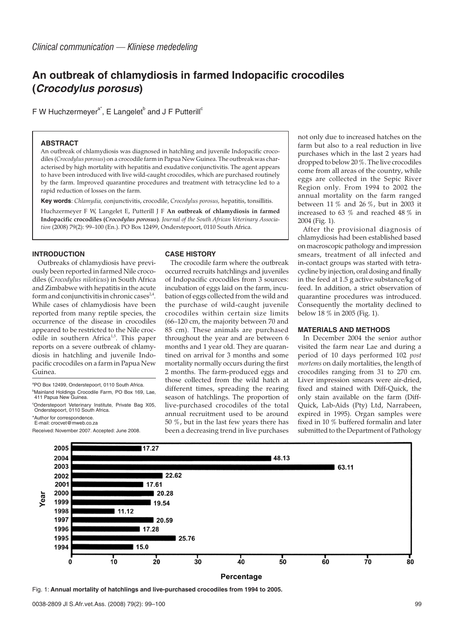## **An outbreak of chlamydiosis in farmed Indopacific crocodiles (Crocodylus porosus)**

F W Huchzermeyer<sup>a\*</sup>, E Langelet<sup>b</sup> and J F Putterill<sup>c</sup>

#### **ABSTRACT**

An outbreak of chlamydiosis was diagnosed in hatchling and juvenile Indopacific crocodiles (*Crocodylus porosus*) on a crocodile farm in Papua New Guinea. The outbreak was characterised by high mortality with hepatitis and exudative conjunctivitis. The agent appears to have been introduced with live wild-caught crocodiles, which are purchased routinely by the farm. Improved quarantine procedures and treatment with tetracycline led to a rapid reduction of losses on the farm.

**Key words**: *Chlamydia,* conjunctivitis, crocodile, *Crocodylus porosus,* hepatitis, tonsillitis.

Huchzermeyer F W, Langelet E, Putterill J F **An outbreak of chlamydiosis in farmed Indopacific crocodiles (***Crocodylus porosus***)**. *Journal of the South African Veterinary Association* (2008) 79(2): 99–100 (En.). PO Box 12499, Onderstepoort, 0110 South Africa.

## **INTRODUCTION**

Outbreaks of chlamydiosis have previously been reported in farmed Nile crocodiles (*Crocodylus niloticus*) in South Africa and Zimbabwe with hepatitis in the acute form and conjunctivitis in chronic cases<sup>2,4</sup>. While cases of chlamydiosis have been reported from many reptile species, the occurrence of the disease in crocodiles appeared to be restricted to the Nile crocodile in southern Africa<sup>1,5</sup>. This paper reports on a severe outbreak of chlamydiosis in hatchling and juvenile Indopacific crocodiles on a farm in Papua New Guinea.

a PO Box 12499, Onderstepoort, 0110 South Africa. <sup>b</sup>Mainland Holdings Crocodile Farm, PO Box 169, Lae,<br>411 Papua New Guinea.

c Onderstepoort Veterinary Institute, Private Bag X05, Onderstepoort, 0110 South Africa.

\*Author for correspondence. E-mail: crocvet@mweb.co.za

Received: November 2007. Accepted: June 2008.

#### **CASE HISTORY**

The crocodile farm where the outbreak occurred recruits hatchlings and juveniles of Indopacific crocodiles from 3 sources: incubation of eggs laid on the farm, incubation of eggs collected from the wild and the purchase of wild-caught juvenile crocodiles within certain size limits (66–120 cm, the majority between 70 and 85 cm). These animals are purchased throughout the year and are between 6 months and 1 year old. They are quarantined on arrival for 3 months and some mortality normally occurs during the first 2 months. The farm-produced eggs and those collected from the wild hatch at different times, spreading the rearing season of hatchlings. The proportion of live-purchased crocodiles of the total annual recruitment used to be around 50 %, but in the last few years there has been a decreasing trend in live purchases

not only due to increased hatches on the farm but also to a real reduction in live purchases which in the last 2 years had dropped to below 20 %. The live crocodiles come from all areas of the country, while eggs are collected in the Sepic River Region only. From 1994 to 2002 the annual mortality on the farm ranged between 11 % and 26 %, but in 2003 it increased to 63 % and reached 48 % in 2004 (Fig. 1).

After the provisional diagnosis of chlamydiosis had been established based on macroscopic pathology and impression smears, treatment of all infected and in-contact groups was started with tetracycline by injection, oral dosing and finally in the feed at 1.5 g active substance/kg of feed. In addition, a strict observation of quarantine procedures was introduced. Consequently the mortality declined to below 18 % in 2005 (Fig. 1).

## **MATERIALS AND METHODS**

In December 2004 the senior author visited the farm near Lae and during a period of 10 days performed 102 *post mortems* on daily mortalities, the length of crocodiles ranging from 31 to 270 cm. Liver impression smears were air-dried, fixed and stained with Diff-Quick, the only stain available on the farm (Diff-Quick, Lab-Aids (Pty) Ltd, Narrabeen, expired in 1995). Organ samples were fixed in 10 % buffered formalin and later submitted to the Department of Pathology



Fig. 1: **Annual mortality of hatchlings and live-purchased crocodiles from 1994 to 2005.**